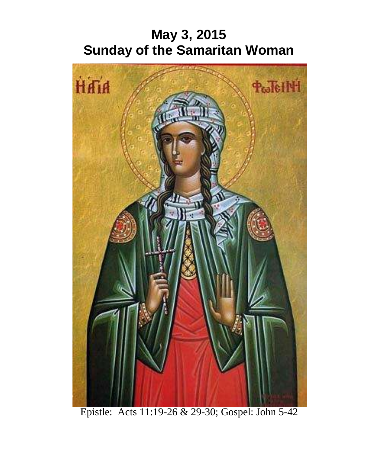# **May 3, 2015 Sunday of the Samaritan Woman**



Epistle: Acts 11:19-26 & 29-30; Gospel: John 5-42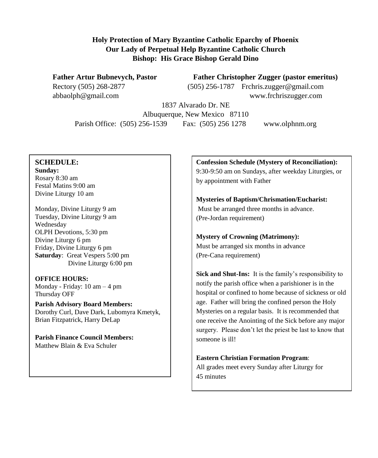#### **Holy Protection of Mary Byzantine Catholic Eparchy of Phoenix Our Lady of Perpetual Help Byzantine Catholic Church Bishop: His Grace Bishop Gerald Dino**

Father Artur Bubnevych, Pastor Father Christopher Zugger (pastor emeritus) Rectory (505) 268-2877 (505) 256-1787 [Frchris.zugger@gmail.com](mailto:Frchris.zugger@gmail.com) [abbaolph@gmail.com](mailto:abbaolph@gmail.com) www.frchriszugger.com

1837 Alvarado Dr. NE Albuquerque, New Mexico 87110 Parish Office: (505) 256-1539 Fax: (505) 256 1278 www.olphnm.org

#### **SCHEDULE:**

**Sunday:** Rosary 8:30 am Festal Matins 9:00 am Divine Liturgy 10 am

Monday, Divine Liturgy 9 am Tuesday, Divine Liturgy 9 am Wednesday OLPH Devotions, 5:30 pm Divine Liturgy 6 pm Friday, Divine Liturgy 6 pm **Saturday**: Great Vespers 5:00 pm Divine Liturgy 6:00 pm

**OFFICE HOURS:** Monday - Friday: 10 am – 4 pm Thursday OFF

**Parish Advisory Board Members:** Dorothy Curl, Dave Dark, Lubomyra Kmetyk, Brian Fitzpatrick, Harry DeLap

**Parish Finance Council Members:** Matthew Blain & Eva Schuler

**Confession Schedule (Mystery of Reconciliation):** 9:30-9:50 am on Sundays, after weekday Liturgies, or by appointment with Father

**Mysteries of Baptism/Chrismation/Eucharist:** Must be arranged three months in advance. (Pre-Jordan requirement)

**Mystery of Crowning (Matrimony):** Must be arranged six months in advance (Pre-Cana requirement)

**Sick and Shut-Ins:** It is the family's responsibility to notify the parish office when a parishioner is in the hospital or confined to home because of sickness or old age. Father will bring the confined person the Holy Mysteries on a regular basis. It is recommended that one receive the Anointing of the Sick before any major surgery. Please don't let the priest be last to know that someone is ill!

**Eastern Christian Formation Program**: All grades meet every Sunday after Liturgy for 45 minutes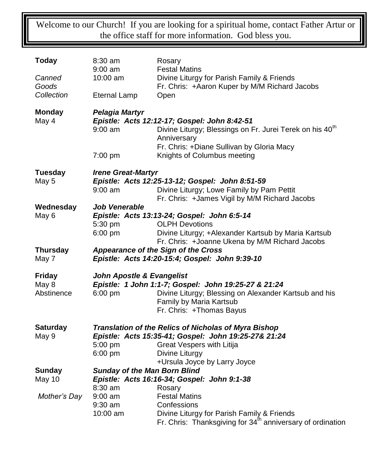Welcome to our Church! If you are looking for a spiritual home, contact Father Artur or the office staff for more information. God bless you.

| <b>Today</b>    | $8:30$ am<br>9:00 am                                                               | Rosary<br><b>Festal Matins</b>                                                                                                      |  |  |  |  |
|-----------------|------------------------------------------------------------------------------------|-------------------------------------------------------------------------------------------------------------------------------------|--|--|--|--|
| Canned<br>Goods | 10:00 am                                                                           | Divine Liturgy for Parish Family & Friends<br>Fr. Chris: +Aaron Kuper by M/M Richard Jacobs                                         |  |  |  |  |
| Collection      | <b>Eternal Lamp</b>                                                                | Open                                                                                                                                |  |  |  |  |
| <b>Monday</b>   | <b>Pelagia Martyr</b>                                                              |                                                                                                                                     |  |  |  |  |
| May 4           | $9:00$ am                                                                          | Epistle: Acts 12:12-17; Gospel: John 8:42-51<br>Divine Liturgy; Blessings on Fr. Jurei Terek on his 40 <sup>th</sup><br>Anniversary |  |  |  |  |
|                 | 7:00 pm                                                                            | Fr. Chris: +Diane Sullivan by Gloria Macy<br>Knights of Columbus meeting                                                            |  |  |  |  |
| <b>Tuesday</b>  | <b>Irene Great-Martyr</b>                                                          |                                                                                                                                     |  |  |  |  |
| May 5           | Epistle: Acts 12:25-13-12; Gospel: John 8:51-59                                    |                                                                                                                                     |  |  |  |  |
|                 | $9:00$ am                                                                          | Divine Liturgy; Lowe Family by Pam Pettit<br>Fr. Chris: +James Vigil by M/M Richard Jacobs                                          |  |  |  |  |
| Wednesday       | <b>Job Venerable</b>                                                               |                                                                                                                                     |  |  |  |  |
| May 6           |                                                                                    | Epistle: Acts 13:13-24; Gospel: John 6:5-14                                                                                         |  |  |  |  |
|                 | 5:30 pm                                                                            | <b>OLPH Devotions</b>                                                                                                               |  |  |  |  |
|                 | 6:00 pm                                                                            | Divine Liturgy; +Alexander Kartsub by Maria Kartsub<br>Fr. Chris: +Joanne Ukena by M/M Richard Jacobs                               |  |  |  |  |
| <b>Thursday</b> |                                                                                    | Appearance of the Sign of the Cross                                                                                                 |  |  |  |  |
| May 7           | Epistle: Acts 14:20-15:4; Gospel: John 9:39-10                                     |                                                                                                                                     |  |  |  |  |
| <b>Friday</b>   | <b>John Apostle &amp; Evangelist</b>                                               |                                                                                                                                     |  |  |  |  |
| May 8           |                                                                                    | Epistle: 1 John 1:1-7; Gospel: John 19:25-27 & 21:24                                                                                |  |  |  |  |
| Abstinence      | $6:00$ pm                                                                          | Divine Liturgy; Blessing on Alexander Kartsub and his                                                                               |  |  |  |  |
|                 |                                                                                    | Family by Maria Kartsub                                                                                                             |  |  |  |  |
|                 |                                                                                    | Fr. Chris: +Thomas Bayus                                                                                                            |  |  |  |  |
| <b>Saturday</b> | Translation of the Relics of Nicholas of Myra Bishop                               |                                                                                                                                     |  |  |  |  |
| May 9           | Epistle: Acts 15:35-41; Gospel: John 19:25-27& 21:24                               |                                                                                                                                     |  |  |  |  |
|                 | 5:00 pm                                                                            | Great Vespers with Litija                                                                                                           |  |  |  |  |
|                 | 6:00 pm                                                                            | Divine Liturgy<br>+Ursula Joyce by Larry Joyce                                                                                      |  |  |  |  |
| <b>Sunday</b>   |                                                                                    |                                                                                                                                     |  |  |  |  |
| <b>May 10</b>   | <b>Sunday of the Man Born Blind</b><br>Epistle: Acts 16:16-34; Gospel: John 9:1-38 |                                                                                                                                     |  |  |  |  |
|                 | 8:30 am                                                                            | Rosary                                                                                                                              |  |  |  |  |
| Mother's Day    | $9:00$ am                                                                          | <b>Festal Matins</b>                                                                                                                |  |  |  |  |
|                 | $9:30$ am                                                                          | Confessions                                                                                                                         |  |  |  |  |
|                 | 10:00 am                                                                           | Divine Liturgy for Parish Family & Friends                                                                                          |  |  |  |  |
|                 |                                                                                    | Fr. Chris: Thanksgiving for 34 <sup>th</sup> anniversary of ordination                                                              |  |  |  |  |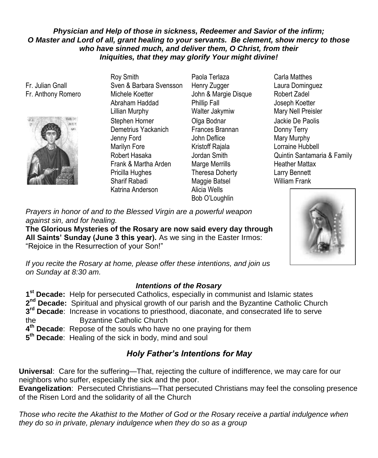### *Physician and Help of those in sickness, Redeemer and Savior of the infirm; O Master and Lord of all, grant healing to your servants. Be clement, show mercy to those who have sinned much, and deliver them, O Christ, from their Iniquities, that they may glorify Your might divine!*

Fr. Julian Gnall Fr. Anthony Romero



Roy Smith Sven & Barbara Svensson Michele Koetter Abraham Haddad Lillian Murphy Stephen Horner Demetrius Yackanich Jenny Ford Marilyn Fore Robert Hasaka Frank & Martha Arden Pricilla Hughes Sharif Rabadi Katrina Anderson Alicia Wells

- Paola Terlaza Henry Zugger John & Margie Disque Phillip Fall Walter Jakymiw Olga Bodnar Frances Brannan John Deflice Kristoff Rajala Jordan Smith Marge Merrills Theresa Doherty Maggie Batsel Bob O'Loughlin
- Carla Matthes Laura Dominguez Robert Zadel Joseph Koetter Mary Nell Preisler Jackie De Paolis Donny Terry Mary Murphy Lorraine Hubbell Quintin Santamaria & Family Heather Mattax Larry Bennett William Frank

*Prayers in honor of and to the Blessed Virgin are a powerful weapon against sin, and for healing.* 

**The Glorious Mysteries of the Rosary are now said every day through All Saints' Sunday (June 3 this year).** As we sing in the Easter Irmos: "Rejoice in the Resurrection of your Son!"

*If you recite the Rosary at home, please offer these intentions, and join us on Sunday at 8:30 am.*

## *Intentions of the Rosary*

 **st Decade:** Help for persecuted Catholics, especially in communist and Islamic states 2<sup>nd</sup> Decade: Spiritual and physical growth of our parish and the Byzantine Catholic Church **rd Decade**: Increase in vocations to priesthood, diaconate, and consecrated life to serve the Byzantine Catholic Church **th Decade**: Repose of the souls who have no one praying for them **th Decade**: Healing of the sick in body, mind and soul

# *Holy Father's Intentions for May*

**Universal**: Care for the suffering—That, rejecting the culture of indifference, we may care for our neighbors who suffer, especially the sick and the poor.

**Evangelization**: Persecuted Christians—That persecuted Christians may feel the consoling presence of the Risen Lord and the solidarity of all the Church

*Those who recite the Akathist to the Mother of God or the Rosary receive a partial indulgence when they do so in private, plenary indulgence when they do so as a group*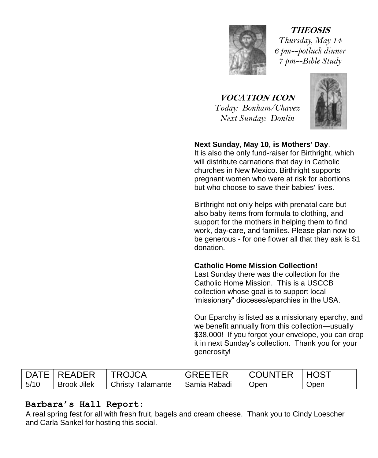

**THEOSIS** *Thursday, May 14 6 pm--potluck dinner 7 pm--Bible Study*

**VOCATION ICON** *Today: Bonham/Chavez Next Sunday: Donlin*



## **Next Sunday, May 10, is Mothers' Day**.

It is also the only fund-raiser for Birthright, which will distribute carnations that day in Catholic churches in New Mexico. Birthright supports pregnant women who were at risk for abortions but who choose to save their babies' lives.

Birthright not only helps with prenatal care but also baby items from formula to clothing, and support for the mothers in helping them to find work, day-care, and families. Please plan now to be generous - for one flower all that they ask is \$1 donation.

#### **Catholic Home Mission Collection!**

Last Sunday there was the collection for the Catholic Home Mission. This is a USCCB collection whose goal is to support local 'missionary" dioceses/eparchies in the USA.

Our Eparchy is listed as a missionary eparchy, and we benefit annually from this collection—usually \$38,000! If you forgot your envelope, you can drop it in next Sunday's collection. Thank you for your generosity!

|      | I DATF I RFADFR    | TROJCA                   | GREETER      | COUNTER | <b>HOST</b> |
|------|--------------------|--------------------------|--------------|---------|-------------|
| 5/10 | <b>Brook Jilek</b> | <b>Christy Talamante</b> | Samia Rabadi | Open    | Open        |

# **Barbara's Hall Report:**

A real spring fest for all with fresh fruit, bagels and cream cheese. Thank you to Cindy Loescher and Carla Sankel for hosting this social.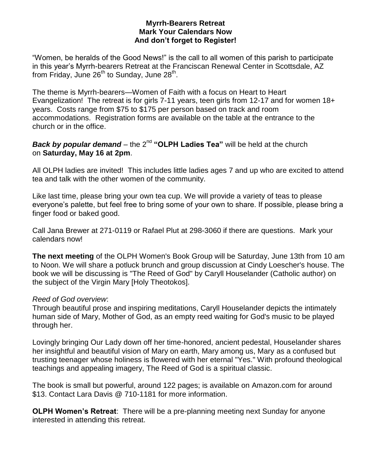#### **Myrrh-Bearers Retreat Mark Your Calendars Now And don't forget to Register!**

"Women, be heralds of the Good News!" is the call to all women of this parish to participate in this year's Myrrh-bearers Retreat at the Franciscan Renewal Center in Scottsdale, AZ from Friday, June 26<sup>th</sup> to Sunday, June 28<sup>th</sup>.

The theme is Myrrh-bearers—Women of Faith with a focus on Heart to Heart Evangelization! The retreat is for girls 7-11 years, teen girls from 12-17 and for women 18+ years. Costs range from \$75 to \$175 per person based on track and room accommodations. Registration forms are available on the table at the entrance to the church or in the office.

### **Back by popular demand** – the 2<sup>nd</sup> "OLPH Ladies Tea" will be held at the church on Saturday, May 16 at 2pm. **Example 20 at all those interested in the pre-planning in the pre-planning in the p**

All OLPH ladies are invited! This includes little ladies ages 7 and up who are excited to attend tea and talk with the other women of the community.

Like last time, please bring your own tea cup. We will provide a variety of teas to please everyone's palette, but feel free to bring some of your own to share. If possible, please bring a finger food or baked good.

Call Jana Brewer at 271-0119 or Rafael Plut at 298-3060 if there are questions. Mark your calendars now!

**The next meeting** of the OLPH Women's Book Group will be Saturday, June 13th from 10 am to Noon. We will share a potluck brunch and group discussion at Cindy Loescher's house. The book we will be discussing is "The Reed of God" by Caryll Houselander (Catholic author) on the subject of the Virgin Mary [Holy Theotokos].

#### *Reed of God overview*:

Through beautiful prose and inspiring meditations, Caryll Houselander depicts the intimately human side of Mary, Mother of God, as an empty reed waiting for God's music to be played through her.

Lovingly bringing Our Lady down off her time-honored, ancient pedestal, Houselander shares her insightful and beautiful vision of Mary on earth, Mary among us, Mary as a confused but trusting teenager whose holiness is flowered with her eternal "Yes." With profound theological teachings and appealing imagery, The Reed of God is a spiritual classic.

The book is small but powerful, around 122 pages; is available on Amazon.com for around \$13. Contact Lara Davis @ 710-1181 for more information.

**OLPH Women's Retreat**: There will be a pre-planning meeting next Sunday for anyone interested in attending this retreat.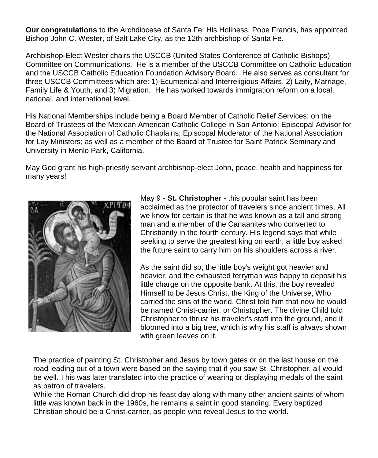**Our congratulations** to the Archdiocese of Santa Fe: His Holiness, Pope Francis, has appointed Bishop John C. Wester, of Salt Lake City, as the 12th archbishop of Santa Fe.

Archbishop-Elect Wester chairs the USCCB (United States Conference of Catholic Bishops) Committee on Communications. He is a member of the USCCB Committee on Catholic Education and the USCCB Catholic Education Foundation Advisory Board. He also serves as consultant for three USCCB Committees which are: 1) Ecumenical and Interreligious Affairs, 2) Laity, Marriage, Family Life & Youth, and 3) Migration. He has worked towards immigration reform on a local, national, and international level.

His National Memberships include being a Board Member of Catholic Relief Services; on the Board of Trustees of the Mexican American Catholic College in San Antonio; Episcopal Advisor for the National Association of Catholic Chaplains; Episcopal Moderator of the National Association for Lay Ministers; as well as a member of the Board of Trustee for Saint Patrick Seminary and University in Menlo Park, California.

May God grant his high-priestly servant archbishop-elect John, peace, health and happiness for many years!



May 9 - **St. Christopher** - this popular saint has been acclaimed as the protector of travelers since ancient times. All we know for certain is that he was known as a tall and strong man and a member of the Canaanites who converted to Christianity in the fourth century. His legend says that while seeking to serve the greatest king on earth, a little boy asked the future saint to carry him on his shoulders across a river.

As the saint did so, the little boy's weight got heavier and heavier, and the exhausted ferryman was happy to deposit his little charge on the opposite bank. At this, the boy revealed Himself to be Jesus Christ, the King of the Universe, Who carried the sins of the world. Christ told him that now he would be named Christ-carrier, or Christopher. The divine Child told Christopher to thrust his traveler's staff into the ground, and it bloomed into a big tree, which is why his staff is always shown with green leaves on it.

The practice of painting St. Christopher and Jesus by town gates or on the last house on the road leading out of a town were based on the saying that if you saw St. Christopher, all would be well. This was later translated into the practice of wearing or displaying medals of the saint as patron of travelers.

While the Roman Church did drop his feast day along with many other ancient saints of whom little was known back in the 1960s, he remains a saint in good standing. Every baptized Christian should be a Christ-carrier, as people who reveal Jesus to the world.